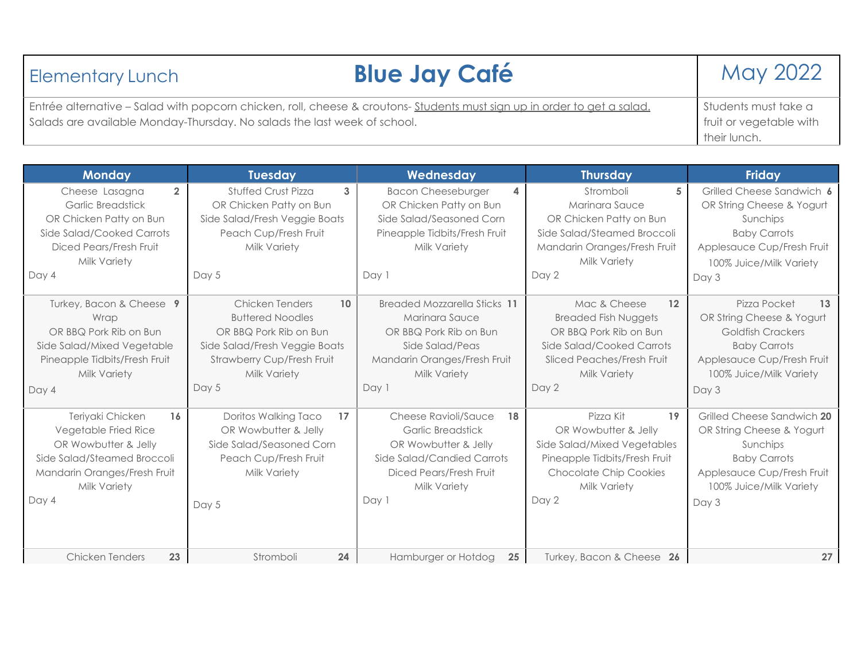| <b>Blue Jay Café</b><br><b>Elementary Lunch</b>                                                                          | May 2022                                |
|--------------------------------------------------------------------------------------------------------------------------|-----------------------------------------|
| Entrée alternative – Salad with popcorn chicken, roll, cheese & croutons- Students must sign up in order to get a salad. | Students must take a                    |
| Salads are available Monday-Thursday. No salads the last week of school.                                                 | fruit or vegetable with<br>their lunch. |

| <b>Monday</b>                                                                                                                                                                   | <b>Tuesday</b>                                                                                                                                                            | Wednesday                                                                                                                                                        | <b>Thursday</b>                                                                                                                                                   | <b>Friday</b>                                                                                                                                                        |
|---------------------------------------------------------------------------------------------------------------------------------------------------------------------------------|---------------------------------------------------------------------------------------------------------------------------------------------------------------------------|------------------------------------------------------------------------------------------------------------------------------------------------------------------|-------------------------------------------------------------------------------------------------------------------------------------------------------------------|----------------------------------------------------------------------------------------------------------------------------------------------------------------------|
| $\overline{2}$<br>Cheese Lasagna<br><b>Garlic Breadstick</b><br>OR Chicken Patty on Bun<br>Side Salad/Cooked Carrots<br>Diced Pears/Fresh Fruit<br><b>Milk Variety</b><br>Day 4 | <b>Stuffed Crust Pizza</b><br>3<br>OR Chicken Patty on Bun<br>Side Salad/Fresh Veggie Boats<br>Peach Cup/Fresh Fruit<br>Milk Variety<br>Day 5                             | <b>Bacon Cheeseburger</b><br>4<br>OR Chicken Patty on Bun<br>Side Salad/Seasoned Corn<br>Pineapple Tidbits/Fresh Fruit<br>Milk Variety<br>Day 1                  | Stromboli<br>5<br>Marinara Sauce<br>OR Chicken Patty on Bun<br>Side Salad/Steamed Broccoli<br>Mandarin Oranges/Fresh Fruit<br>Milk Variety<br>Day 2               | Grilled Cheese Sandwich 6<br>OR String Cheese & Yogurt<br>Sunchips<br><b>Baby Carrots</b><br>Applesauce Cup/Fresh Fruit<br>100% Juice/Milk Variety<br>Day 3          |
| Turkey, Bacon & Cheese 9<br>Wrap<br>OR BBQ Pork Rib on Bun<br>Side Salad/Mixed Vegetable<br>Pineapple Tidbits/Fresh Fruit<br>Milk Variety<br>Day 4                              | Chicken Tenders<br>10<br><b>Buttered Noodles</b><br>OR BBQ Pork Rib on Bun<br>Side Salad/Fresh Veggie Boats<br>Strawberry Cup/Fresh Fruit<br><b>Milk Variety</b><br>Day 5 | Breaded Mozzarella Sticks 11<br>Marinara Sauce<br>OR BBQ Pork Rib on Bun<br>Side Salad/Peas<br>Mandarin Oranges/Fresh Fruit<br><b>Milk Variety</b><br>Day 1      | Mac & Cheese<br>12<br><b>Breaded Fish Nuggets</b><br>OR BBQ Pork Rib on Bun<br>Side Salad/Cooked Carrots<br>Sliced Peaches/Fresh Fruit<br>Milk Variety<br>Day 2   | Pizza Pocket<br>13<br>OR String Cheese & Yogurt<br><b>Goldfish Crackers</b><br><b>Baby Carrots</b><br>Applesauce Cup/Fresh Fruit<br>100% Juice/Milk Variety<br>Day 3 |
| Teriyaki Chicken<br>16<br>Vegetable Fried Rice<br>OR Wowbutter & Jelly<br>Side Salad/Steamed Broccoli<br>Mandarin Oranges/Fresh Fruit<br>Milk Variety<br>Day 4                  | Doritos Walking Taco<br>17<br>OR Wowbutter & Jelly<br>Side Salad/Seasoned Corn<br>Peach Cup/Fresh Fruit<br>Milk Variety<br>Day 5                                          | Cheese Ravioli/Sauce<br>18<br><b>Garlic Breadstick</b><br>OR Wowbutter & Jelly<br>Side Salad/Candied Carrots<br>Diced Pears/Fresh Fruit<br>Milk Variety<br>Day 1 | Pizza Kit<br>19<br>OR Wowbutter & Jelly<br>Side Salad/Mixed Vegetables<br>Pineapple Tidbits/Fresh Fruit<br><b>Chocolate Chip Cookies</b><br>Milk Variety<br>Day 2 | Grilled Cheese Sandwich 20<br>OR String Cheese & Yogurt<br>Sunchips<br><b>Baby Carrots</b><br>Applesauce Cup/Fresh Fruit<br>100% Juice/Milk Variety<br>Day 3         |
| 23<br><b>Chicken Tenders</b>                                                                                                                                                    | 24<br>Stromboli                                                                                                                                                           | Hamburger or Hotdog<br>25                                                                                                                                        | Turkey, Bacon & Cheese 26                                                                                                                                         | 27                                                                                                                                                                   |